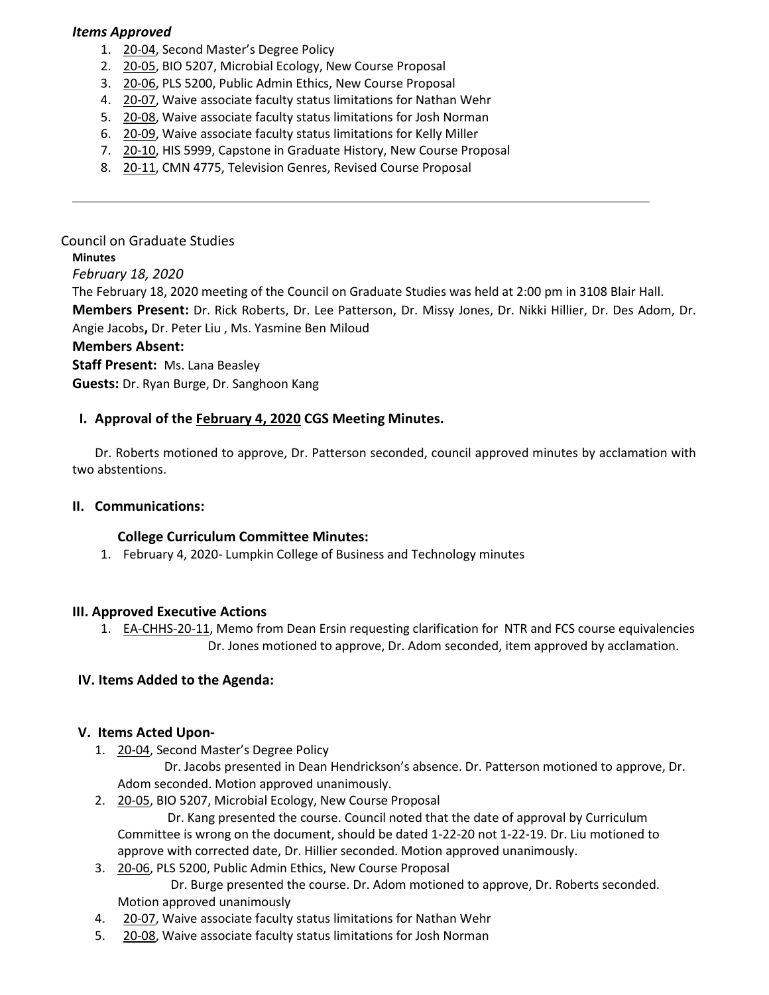#### *Items Approved*

- 1. [20-04,](http://castle.eiu.edu/eiucgs/currentagendaitems/agenda20-04.pdf) Second Master's Degree Policy
- 2. [20-05,](http://castle.eiu.edu/eiucgs/currentagendaitems/agenda20-05.pdf) BIO 5207, Microbial Ecology, New Course Proposal
- 3. [20-06,](http://castle.eiu.edu/eiucgs/currentagendaitems/agenda20-06.pdf) PLS 5200, Public Admin Ethics, New Course Proposal
- 4. [20-07,](http://castle.eiu.edu/eiucgs/currentagendaitems/agenda20-07.pdf) Waive associate faculty status limitations for Nathan Wehr
- 5. [20-08,](http://castle.eiu.edu/eiucgs/currentagendaitems/agenda20-08.pdf) Waive associate faculty status limitations for Josh Norman
- 6. [20-09, W](http://castle.eiu.edu/eiucgs/currentagendaitems/agenda20-09.pdf)aive associate faculty status limitations for Kelly Miller
- 7. [20-10](http://castle.eiu.edu/eiucgs/currentagendaitems/agenda20-10.pdf), HIS 5999, Capstone in Graduate History, New Course Proposal
- 8. [20-11,](http://castle.eiu.edu/eiucgs/currentagendaitems/agenda20-11.pdf) CMN 4775, Television Genres, Revised Course Proposal

# Council on Graduate Studies

#### **Minutes**

*February 18, 2020*

The February 18, 2020 meeting of the Council on Graduate Studies was held at 2:00 pm in 3108 Blair Hall.

**Members Present:** Dr. Rick Roberts, Dr. Lee Patterson, Dr. Missy Jones, Dr. Nikki Hillier, Dr. Des Adom, Dr. Angie Jacobs**,** Dr. Peter Liu , Ms. Yasmine Ben Miloud

#### **Members Absent:**

**Staff Present:** Ms. Lana Beasley

**Guests:** Dr. Ryan Burge, Dr. Sanghoon Kang

## **I. Approval of the [February 4, 2020](https://castle.eiu.edu/eiucgs/currentminutes/Minutes2-4-20.pdf) CGS Meeting Minutes.**

Dr. Roberts motioned to approve, Dr. Patterson seconded, council approved minutes by acclamation with two abstentions.

#### **II. Communications:**

#### **College Curriculum Committee Minutes:**

1. February 4, 2020- Lumpkin College of Business and Technology [minutes](https://www.eiu.edu/lumpkin/curriculum/lcbatcurrmin20200204.pdf)

#### **III. Approved Executive Actions**

1. **[EA-CHHS-20-11](https://castle.eiu.edu/eiucgs/exec-actions/EA-CHHS-20-11.pdf)**, Memo from Dean Ersin requesting clarification for NTR and FCS course equivalencies Dr. Jones motioned to approve, Dr. Adom seconded, item approved by acclamation.

## **IV. Items Added to the Agenda:**

#### **V. Items Acted Upon-**

1. [20-04, S](http://castle.eiu.edu/eiucgs/currentagendaitems/agenda20-04.pdf)econd Master's Degree Policy

 Dr. Jacobs presented in Dean Hendrickson's absence. Dr. Patterson motioned to approve, Dr. Adom seconded. Motion approved unanimously.

2. [20-05,](http://castle.eiu.edu/eiucgs/currentagendaitems/agenda20-05.pdf) BIO 5207, Microbial Ecology, New Course Proposal

 Dr. Kang presented the course. Council noted that the date of approval by Curriculum Committee is wrong on the document, should be dated 1-22-20 not 1-22-19. Dr. Liu motioned to approve with corrected date, Dr. Hillier seconded. Motion approved unanimously.

- 3. [20-06,](http://castle.eiu.edu/eiucgs/currentagendaitems/agenda20-06.pdf) PLS 5200, Public Admin Ethics, New Course Proposal Dr. Burge presented the course. Dr. Adom motioned to approve, Dr. Roberts seconded. Motion approved unanimously
- 4. [20-07,](http://castle.eiu.edu/eiucgs/currentagendaitems/agenda20-07.pdf) Waive associate faculty status limitations for Nathan Wehr
- 5. [20-08, W](http://castle.eiu.edu/eiucgs/currentagendaitems/agenda20-08.pdf)aive associate faculty status limitations for Josh Norman